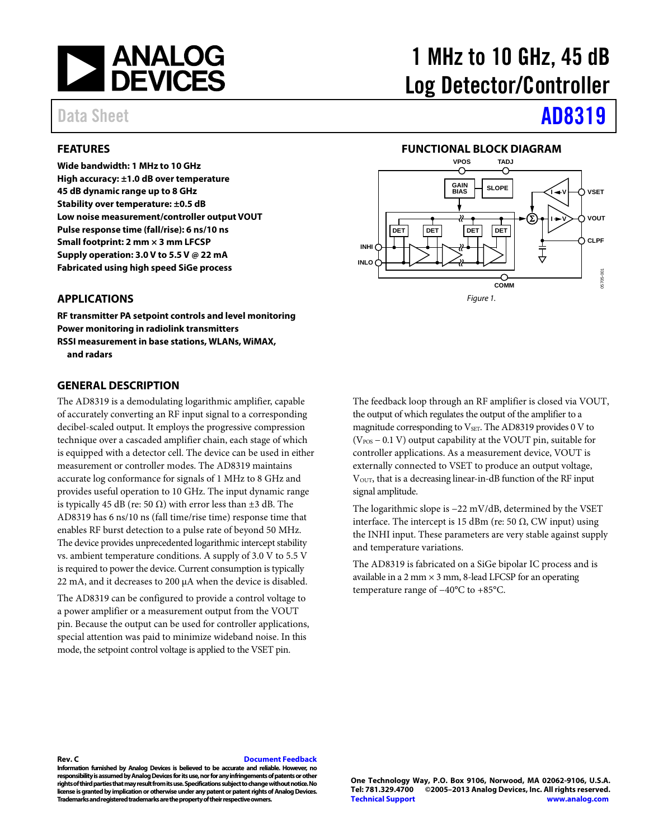

#### <span id="page-0-0"></span>**FEATURES**

**Wide bandwidth: 1 MHz to 10 GHz High accuracy: ±1.0 dB over temperature 45 dB dynamic range up to 8 GHz Stability over temperature: ±0.5 dB Low noise measurement/controller output VOUT Pulse response time (fall/rise): 6 ns/10 ns Small footprint: 2 mm × 3 mm LFCSP Supply operation: 3.0 V to 5.5 V @ 22 mA Fabricated using high speed SiGe process**

# 1 MHz to 10 GHz, 45 dB Log Detector/Controller

# Data Sheet **[AD8319](http://www.analog.com/AD8319?doc=AD8319.pdf)**

#### **FUNCTIONAL BLOCK DIAGRAM**

<span id="page-0-2"></span>

#### <span id="page-0-1"></span>**APPLICATIONS**

**RF transmitter PA setpoint controls and level monitoring Power monitoring in radiolink transmitters RSSI measurement in base stations, WLANs, WiMAX, and radars**

#### <span id="page-0-3"></span>**GENERAL DESCRIPTION**

The AD8319 is a demodulating logarithmic amplifier, capable of accurately converting an RF input signal to a corresponding decibel-scaled output. It employs the progressive compression technique over a cascaded amplifier chain, each stage of which is equipped with a detector cell. The device can be used in either measurement or controller modes. The AD8319 maintains accurate log conformance for signals of 1 MHz to 8 GHz and provides useful operation to 10 GHz. The input dynamic range is typically 45 dB (re: 50  $\Omega$ ) with error less than  $\pm 3$  dB. The AD8319 has 6 ns/10 ns (fall time/rise time) response time that enables RF burst detection to a pulse rate of beyond 50 MHz. The device provides unprecedented logarithmic intercept stability vs. ambient temperature conditions. A supply of 3.0 V to 5.5 V is required to power the device. Current consumption is typically 22 mA, and it decreases to 200 µA when the device is disabled.

The AD8319 can be configured to provide a control voltage to a power amplifier or a measurement output from the VOUT pin. Because the output can be used for controller applications, special attention was paid to minimize wideband noise. In this mode, the setpoint control voltage is applied to the VSET pin.

The feedback loop through an RF amplifier is closed via VOUT, the output of which regulates the output of the amplifier to a magnitude corresponding to  $V<sub>SET</sub>$ . The AD8319 provides 0 V to  $(V_{POS} - 0.1 V)$  output capability at the VOUT pin, suitable for controller applications. As a measurement device, VOUT is externally connected to VSET to produce an output voltage, V<sub>OUT</sub>, that is a decreasing linear-in-dB function of the RF input signal amplitude.

The logarithmic slope is −22 mV/dB, determined by the VSET interface. The intercept is 15 dBm (re: 50 Ω, CW input) using the INHI input. These parameters are very stable against supply and temperature variations.

The AD8319 is fabricated on a SiGe bipolar IC process and is available in a 2 mm  $\times$  3 mm, 8-lead LFCSP for an operating temperature range of −40°C to +85°C.

#### **Rev. C [Document Feedback](https://form.analog.com/Form_Pages/feedback/documentfeedback.aspx?doc=AD8319.pdf&product=AD8319&rev=C)**

**Information furnished by Analog Devices is believed to be accurate and reliable. However, no responsibility is assumed by Analog Devices for its use, nor for any infringements of patents or other rights of third parties that may result from its use. Specifications subject to change without notice. No license is granted by implication or otherwise under any patent or patent rights of Analog Devices. Trademarks and registered trademarks are the property of their respective owners.**

**One Technology Way, P.O. Box 9106, Norwood, MA 02062-9106, U.S.A. Tel: 781.329.4700 ©2005–2013 Analog Devices, Inc. All rights reserved. [Technical Support](http://www.analog.com/en/content/technical_support_page/fca.html) [www.analog.com](http://www.analog.com/)**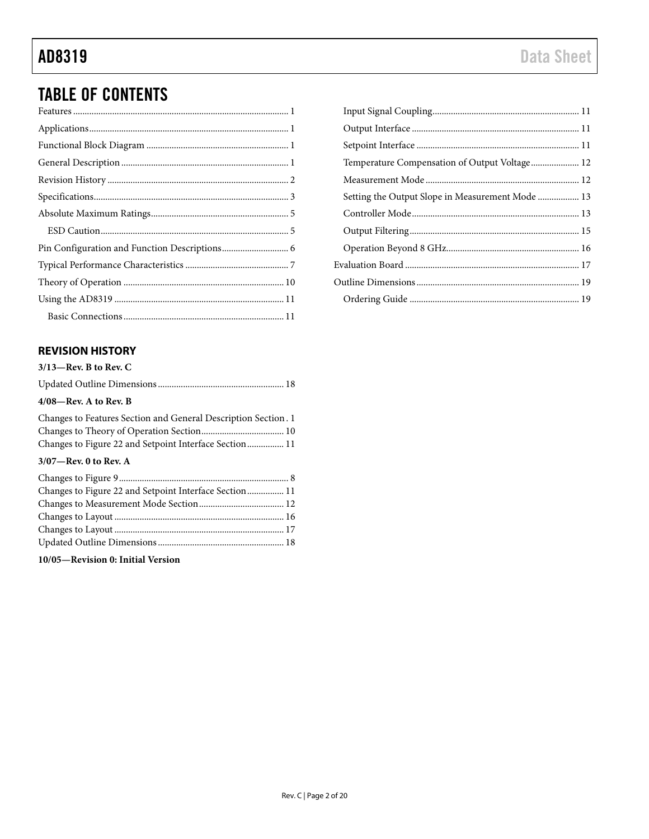## TABLE OF CONTENTS

### <span id="page-1-0"></span>**REVISION HISTORY**

| $3/13$ —Rev. B to Rev. C                                                                                                 |
|--------------------------------------------------------------------------------------------------------------------------|
|                                                                                                                          |
| $4/08$ —Rev. A to Rev. B                                                                                                 |
| Changes to Features Section and General Description Section. 1<br>Changes to Figure 22 and Setpoint Interface Section 11 |
| $3/07$ —Rev. 0 to Rev. A                                                                                                 |
|                                                                                                                          |
|                                                                                                                          |
|                                                                                                                          |
|                                                                                                                          |
|                                                                                                                          |
|                                                                                                                          |
|                                                                                                                          |

Updated Outline Dimensions....................................................... 18

**10/05—Revision 0: Initial Version**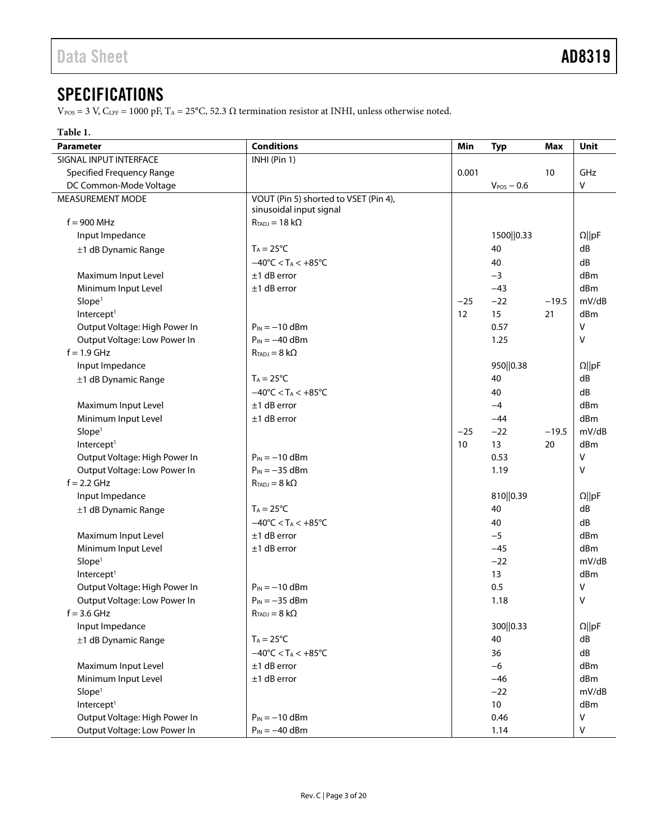## <span id="page-2-0"></span>**SPECIFICATIONS**

 $V_{\rm POS}$  = 3 V, C<sub>LPF</sub> = 1000 pF, T<sub>A</sub> = 25°C, 52.3 Ω termination resistor at INHI, unless otherwise noted.

#### **Table 1.**

| <b>Parameter</b>                 | <b>Conditions</b>                                                | Min   | <b>Typ</b>      | Max     | Unit            |
|----------------------------------|------------------------------------------------------------------|-------|-----------------|---------|-----------------|
| SIGNAL INPUT INTERFACE           | INHI (Pin 1)                                                     |       |                 |         |                 |
| <b>Specified Frequency Range</b> |                                                                  | 0.001 |                 | 10      | GHz             |
| DC Common-Mode Voltage           |                                                                  |       | $V_{POS} - 0.6$ |         | V               |
| MEASUREMENT MODE                 | VOUT (Pin 5) shorted to VSET (Pin 4),<br>sinusoidal input signal |       |                 |         |                 |
| $f = 900$ MHz                    | $R_{TADJ} = 18 k\Omega$                                          |       |                 |         |                 |
| Input Impedance                  |                                                                  |       | 1500  0.33      |         | $\Omega$   pF   |
| ±1 dB Dynamic Range              | $T_A = 25^{\circ}C$                                              |       | 40              |         | dB              |
|                                  | $-40^{\circ}$ C < T <sub>A</sub> < $+85^{\circ}$ C               |       | 40              |         | dB              |
| Maximum Input Level              | $±1$ dB error                                                    |       | $-3$            |         | d <sub>Bm</sub> |
| Minimum Input Level              | $±1$ dB error                                                    |       | $-43$           |         | dBm             |
| Slope <sup>1</sup>               |                                                                  | $-25$ | $-22$           | $-19.5$ | mV/dB           |
| Intercept <sup>1</sup>           |                                                                  | 12    | 15              | 21      | dBm             |
| Output Voltage: High Power In    | $P_{IN} = -10$ dBm                                               |       | 0.57            |         | $\vee$          |
| Output Voltage: Low Power In     | $P_{IN} = -40$ dBm                                               |       | 1.25            |         | v               |
| $f = 1.9$ GHz                    | $R_{TADJ} = 8 k\Omega$                                           |       |                 |         |                 |
| Input Impedance                  |                                                                  |       | 950  0.38       |         | $\Omega$   pF   |
| ±1 dB Dynamic Range              | $T_A = 25^{\circ}C$                                              |       | 40              |         | dB              |
|                                  | $-40^{\circ}$ C < T <sub>A</sub> < $+85^{\circ}$ C               |       | 40              |         | dB              |
| Maximum Input Level              | $±1$ dB error                                                    |       | $-4$            |         | dBm             |
| Minimum Input Level              | $±1$ dB error                                                    |       | $-44$           |         | dBm             |
| Slope <sup>1</sup>               |                                                                  | $-25$ | $-22$           | $-19.5$ | mV/dB           |
| Intercept <sup>1</sup>           |                                                                  | 10    | 13              | 20      | dBm             |
| Output Voltage: High Power In    | $P_{IN} = -10$ dBm                                               |       | 0.53            |         | V               |
| Output Voltage: Low Power In     | $P_{IN} = -35$ dBm                                               |       | 1.19            |         | v               |
| $f = 2.2$ GHz                    | $R_{TADJ} = 8 k\Omega$                                           |       |                 |         |                 |
| Input Impedance                  |                                                                  |       | 810  0.39       |         | $\Omega$   pF   |
| ±1 dB Dynamic Range              | $T_A = 25^{\circ}C$                                              |       | 40              |         | dB              |
|                                  | $-40^{\circ}$ C < T <sub>A</sub> < $+85^{\circ}$ C               |       | 40              |         | dB              |
|                                  | $±1$ dB error                                                    |       | $-5$            |         | dB <sub>m</sub> |
| Maximum Input Level              | $±1$ dB error                                                    |       | $-45$           |         | dBm             |
| Minimum Input Level              |                                                                  |       |                 |         | mV/dB           |
| Slope <sup>1</sup>               |                                                                  |       | $-22$           |         |                 |
| Intercept <sup>1</sup>           |                                                                  |       | 13              |         | dBm             |
| Output Voltage: High Power In    | $P_{IN} = -10$ dBm                                               |       | 0.5             |         | v               |
| Output Voltage: Low Power In     | $P_{IN} = -35$ dBm                                               |       | 1.18            |         | V               |
| $f = 3.6$ GHz                    | $R_{\text{TADJ}}=8\;k\Omega$                                     |       |                 |         |                 |
| Input Impedance                  |                                                                  |       | 300  0.33       |         | $\Omega$   pF   |
| ±1 dB Dynamic Range              | $T_A = 25^{\circ}C$                                              |       | 40              |         | dB              |
|                                  | $-40^{\circ}$ C < T <sub>A</sub> < $+85^{\circ}$ C               |       | 36              |         | dB              |
| Maximum Input Level              | $±1$ dB error                                                    |       | $-6$            |         | dBm             |
| Minimum Input Level              | $±1$ dB error                                                    |       | $-46$           |         | dBm             |
| Slope <sup>1</sup>               |                                                                  |       | $-22$           |         | mV/dB           |
| Intercept <sup>1</sup>           |                                                                  |       | $10\,$          |         | dBm             |
| Output Voltage: High Power In    | $P_{IN} = -10$ dBm                                               |       | 0.46            |         | V               |
| Output Voltage: Low Power In     | $P_{IN} = -40$ dBm                                               |       | 1.14            |         | V               |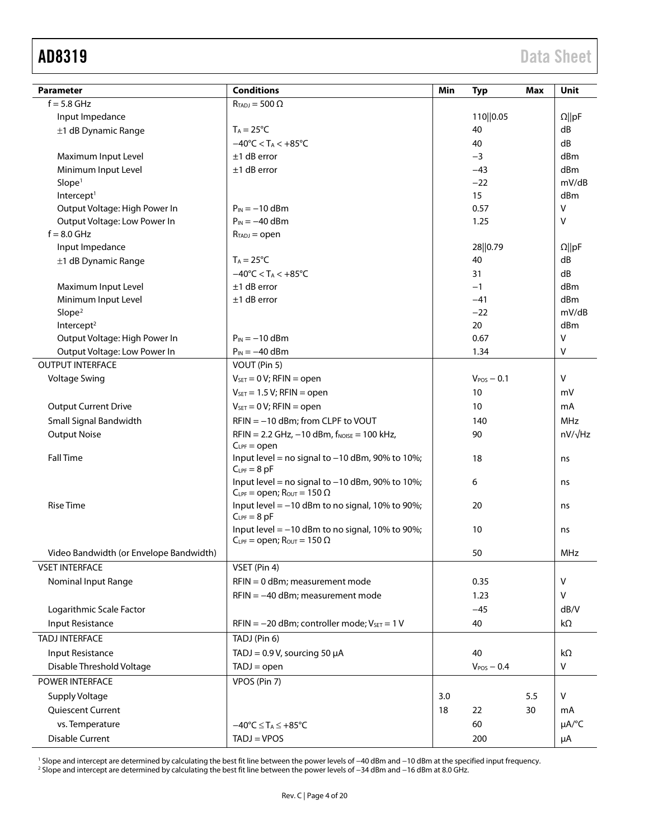<span id="page-3-0"></span>

| Parameter                               | <b>Conditions</b>                                                     | Min | <b>Typ</b>        | Max | <b>Unit</b>            |
|-----------------------------------------|-----------------------------------------------------------------------|-----|-------------------|-----|------------------------|
| $f = 5.8$ GHz                           | $R_{TADJ} = 500 \Omega$                                               |     |                   |     |                        |
| Input Impedance                         |                                                                       |     | 110  0.05         |     | $\Omega$   pF          |
| ±1 dB Dynamic Range                     | $T_A = 25^{\circ}C$                                                   |     | 40                |     | dB                     |
|                                         | $-40^{\circ}$ C < T <sub>A</sub> < $+85^{\circ}$ C                    |     | 40                |     | dB                     |
| Maximum Input Level                     | $±1$ dB error                                                         |     | $-3$              |     | dBm                    |
| Minimum Input Level                     | $±1$ dB error                                                         |     | $-43$             |     | dBm                    |
| Slope <sup>1</sup>                      |                                                                       |     | $-22$             |     | mV/dB                  |
| Intercept <sup>1</sup>                  |                                                                       |     | 15                |     | dBm                    |
| Output Voltage: High Power In           | $P_{IN} = -10$ dBm                                                    |     | 0.57              |     | v                      |
| Output Voltage: Low Power In            | $P_{IN} = -40$ dBm                                                    |     | 1.25              |     | v                      |
| $f = 8.0$ GHz                           | $R_{TADJ} = open$                                                     |     |                   |     |                        |
| Input Impedance                         |                                                                       |     | 28  0.79          |     | $\Omega$   pF          |
| ±1 dB Dynamic Range                     | $T_A = 25^{\circ}C$                                                   |     | 40                |     | dB                     |
|                                         | $-40^{\circ}$ C < T <sub>A</sub> < $+85^{\circ}$ C                    |     | 31                |     | dB                     |
| Maximum Input Level                     | $±1$ dB error                                                         |     | $-1$              |     | dBm                    |
| Minimum Input Level                     | $±1$ dB error                                                         |     | $-41$             |     | dBm                    |
| Slope <sup>2</sup>                      |                                                                       |     | $-22$             |     | mV/dB                  |
| Intercept <sup>2</sup>                  |                                                                       |     | 20                |     | dBm                    |
| Output Voltage: High Power In           | $P_{IN} = -10$ dBm                                                    |     | 0.67              |     | V                      |
| Output Voltage: Low Power In            | $P_{IN} = -40$ dBm                                                    |     | 1.34              |     | V                      |
| <b>OUTPUT INTERFACE</b>                 | VOUT (Pin 5)                                                          |     |                   |     |                        |
| <b>Voltage Swing</b>                    | $V_{\text{SET}} = 0 V$ ; RFIN = open                                  |     | $V_{POS}$ $-$ 0.1 |     | v                      |
|                                         | $V_{SET} = 1.5 V$ ; RFIN = open                                       |     | 10                |     | mV                     |
| <b>Output Current Drive</b>             | $V_{\text{SET}} = 0 V$ ; RFIN = open                                  |     | 10                |     | mA                     |
| Small Signal Bandwidth                  | RFIN = -10 dBm; from CLPF to VOUT                                     |     | 140               |     | MHz                    |
| <b>Output Noise</b>                     | $RFIN = 2.2 GHz, -10 dBm, f_{NOISE} = 100 kHz,$                       |     | 90                |     | $nV/\sqrt{Hz}$         |
|                                         | $C_{LPF} = open$                                                      |     |                   |     |                        |
| <b>Fall Time</b>                        | Input level = no signal to $-10$ dBm, 90% to 10%;<br>$C_{LPF} = 8 pF$ |     | 18                |     | ns                     |
|                                         | Input level = no signal to $-10$ dBm, 90% to 10%;                     |     | 6                 |     | ns                     |
|                                         | $C_{LPF}$ = open; $R_{OUT}$ = 150 $\Omega$                            |     |                   |     |                        |
| <b>Rise Time</b>                        | Input level $=$ -10 dBm to no signal, 10% to 90%;<br>$C_{LPF} = 8pF$  |     | 20                |     | ns                     |
|                                         | Input level $= -10$ dBm to no signal, 10% to 90%;                     |     | 10                |     | ns                     |
|                                         | $C_{LPF}$ = open; $R_{OUT}$ = 150 $\Omega$                            |     |                   |     | MHz                    |
| Video Bandwidth (or Envelope Bandwidth) |                                                                       |     | 50                |     |                        |
| <b>VSET INTERFACE</b>                   | VSET (Pin 4)                                                          |     |                   |     |                        |
| Nominal Input Range                     | RFIN = 0 dBm; measurement mode                                        |     | 0.35              |     | v                      |
|                                         | $RFIN = -40$ dBm; measurement mode                                    |     | 1.23              |     | v                      |
| Logarithmic Scale Factor                |                                                                       |     | $-45$             |     | dB/V                   |
| Input Resistance                        | $RFIN = -20$ dBm; controller mode; $V_{SET} = 1 V$                    |     | 40                |     | kΩ                     |
| <b>TADJ INTERFACE</b>                   | TADJ (Pin 6)                                                          |     |                   |     |                        |
| Input Resistance                        | TADJ = $0.9$ V, sourcing 50 $\mu$ A                                   |     | 40                |     | $k\Omega$              |
| Disable Threshold Voltage               | $TADJ = open$                                                         |     | $V_{POS} - 0.4$   |     | V                      |
| POWER INTERFACE                         | VPOS (Pin 7)                                                          |     |                   |     |                        |
| Supply Voltage                          |                                                                       | 3.0 |                   | 5.5 | V                      |
| Quiescent Current                       |                                                                       | 18  | 22                | 30  | mA                     |
| vs. Temperature                         | $-40^{\circ}C \leq T_A \leq +85^{\circ}C$                             |     | 60                |     | $\mu A$ <sup>o</sup> C |
| <b>Disable Current</b>                  | $TADJ = VPOS$                                                         |     | 200               |     |                        |
|                                         |                                                                       |     |                   |     | μA                     |

<sup>1</sup> Slope and intercept are determined by calculating the best fit line between the power levels of −40 dBm and −10 dBm at the specified input frequency.

<sup>2</sup> Slope and intercept are determined by calculating the best fit line between the power levels of −34 dBm and −16 dBm at 8.0 GHz.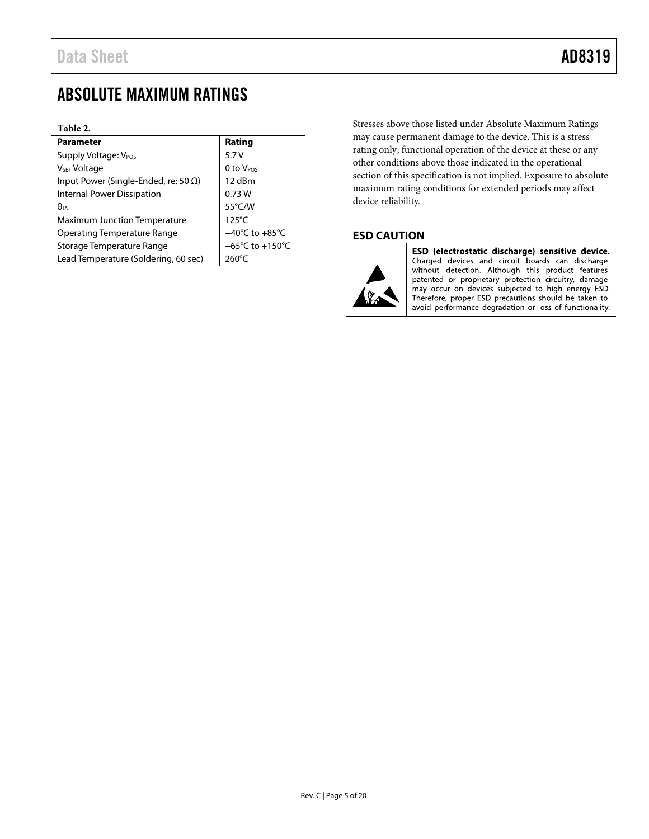## <span id="page-4-0"></span>ABSOLUTE MAXIMUM RATINGS

#### **Table 2.**

| <b>Parameter</b>                             | Rating                               |
|----------------------------------------------|--------------------------------------|
| Supply Voltage: V <sub>POS</sub>             | 5.7V                                 |
| V <sub>SET</sub> Voltage                     | $0$ to $V_{POS}$                     |
| Input Power (Single-Ended, re: 50 $\Omega$ ) | 12 dBm                               |
| <b>Internal Power Dissipation</b>            | 0.73W                                |
| $\theta_{IA}$                                | $55^{\circ}$ C/W                     |
| <b>Maximum Junction Temperature</b>          | $125^{\circ}$ C                      |
| <b>Operating Temperature Range</b>           | $-40^{\circ}$ C to $+85^{\circ}$ C   |
| Storage Temperature Range                    | $-65^{\circ}$ C to +150 $^{\circ}$ C |
| Lead Temperature (Soldering, 60 sec)         | $260^{\circ}$ C                      |

Stresses above those listed under Absolute Maximum Ratings may cause permanent damage to the device. This is a stress rating only; functional operation of the device at these or any other conditions above those indicated in the operational section of this specification is not implied. Exposure to absolute maximum rating conditions for extended periods may affect device reliability.

### <span id="page-4-1"></span>**ESD CAUTION**



ESD (electrostatic discharge) sensitive device. Charged devices and circuit boards can discharge without detection. Although this product features patented or proprietary protection circuitry, damage may occur on devices subjected to high energy ESD.<br>Therefore, proper ESD precautions should be taken to avoid performance degradation or loss of functionality.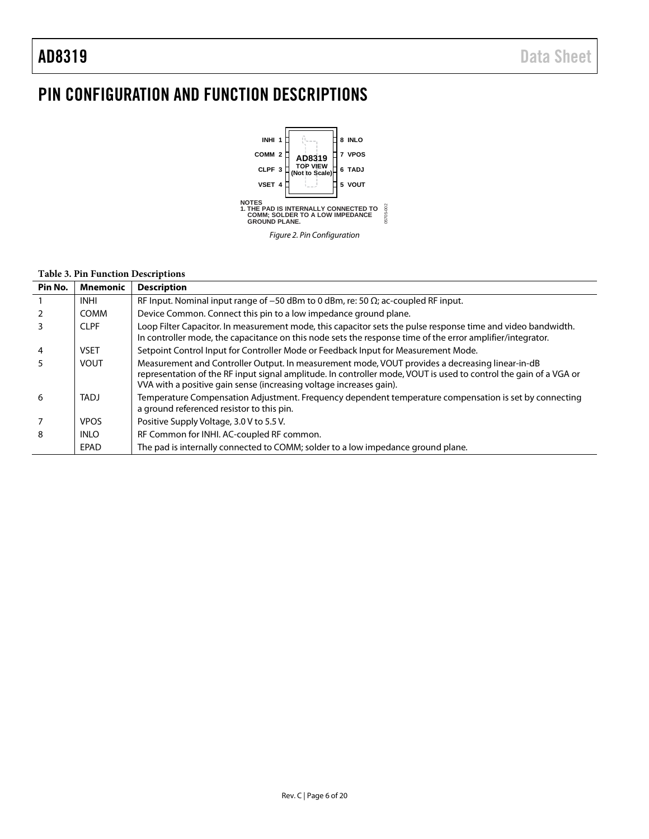## <span id="page-5-0"></span>PIN CONFIGURATION AND FUNCTION DESCRIPTIONS



#### **Table 3. Pin Function Descriptions**

| Pin No. | Mnemonic    | <b>Description</b>                                                                                                                                                                                                                                                                          |
|---------|-------------|---------------------------------------------------------------------------------------------------------------------------------------------------------------------------------------------------------------------------------------------------------------------------------------------|
|         | <b>INHI</b> | RF Input. Nominal input range of $-50$ dBm to 0 dBm, re: 50 $\Omega$ ; ac-coupled RF input.                                                                                                                                                                                                 |
|         | <b>COMM</b> | Device Common. Connect this pin to a low impedance ground plane.                                                                                                                                                                                                                            |
| 3       | <b>CLPF</b> | Loop Filter Capacitor. In measurement mode, this capacitor sets the pulse response time and video bandwidth.<br>In controller mode, the capacitance on this node sets the response time of the error amplifier/integrator.                                                                  |
| 4       | <b>VSET</b> | Setpoint Control Input for Controller Mode or Feedback Input for Measurement Mode.                                                                                                                                                                                                          |
| 5       | <b>VOUT</b> | Measurement and Controller Output. In measurement mode, VOUT provides a decreasing linear-in-dB<br>representation of the RF input signal amplitude. In controller mode, VOUT is used to control the gain of a VGA or<br>VVA with a positive gain sense (increasing voltage increases gain). |
| 6       | <b>TADJ</b> | Temperature Compensation Adjustment. Frequency dependent temperature compensation is set by connecting<br>a ground referenced resistor to this pin.                                                                                                                                         |
|         | <b>VPOS</b> | Positive Supply Voltage, 3.0 V to 5.5 V.                                                                                                                                                                                                                                                    |
| 8       | <b>INLO</b> | RF Common for INHI. AC-coupled RF common.                                                                                                                                                                                                                                                   |
|         | EPAD        | The pad is internally connected to COMM; solder to a low impedance ground plane.                                                                                                                                                                                                            |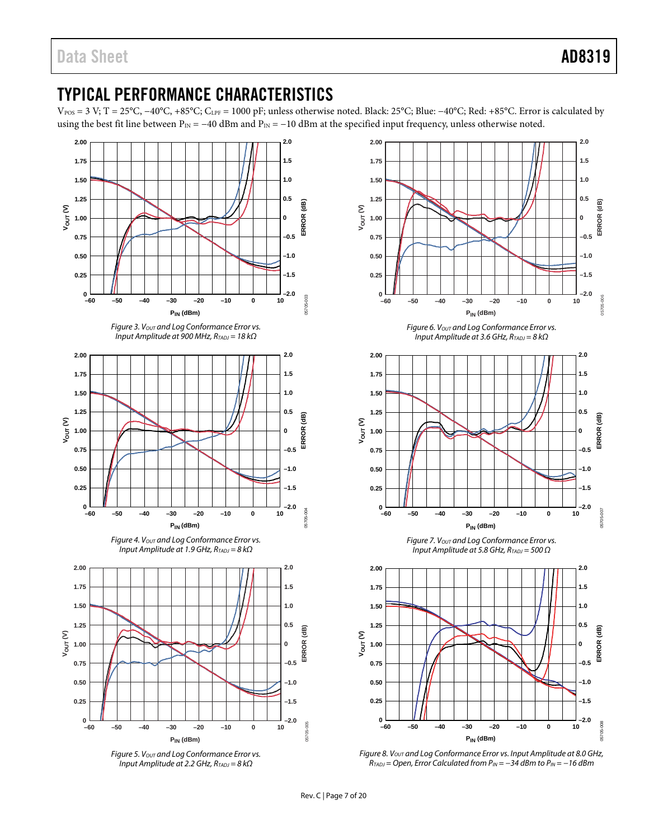## <span id="page-6-0"></span>TYPICAL PERFORMANCE CHARACTERISTICS

V<sub>POS</sub> = 3 V; T = 25°C, -40°C, +85°C; C<sub>LPF</sub> = 1000 pF; unless otherwise noted. Black: 25°C; Blue: -40°C; Red: +85°C. Error is calculated by using the best fit line between  $P_{IN} = -40$  dBm and  $P_{IN} = -10$  dBm at the specified input frequency, unless otherwise noted.







*Figure 6. Vout and Log Conformance Error vs. Input Amplitude at 3.6 GHz, RTADJ = 8 kΩ*



*Figure 7. VOUT and Log Conformance Error vs. Input Amplitude at 5.8 GHz, RTADJ = 500 Ω*



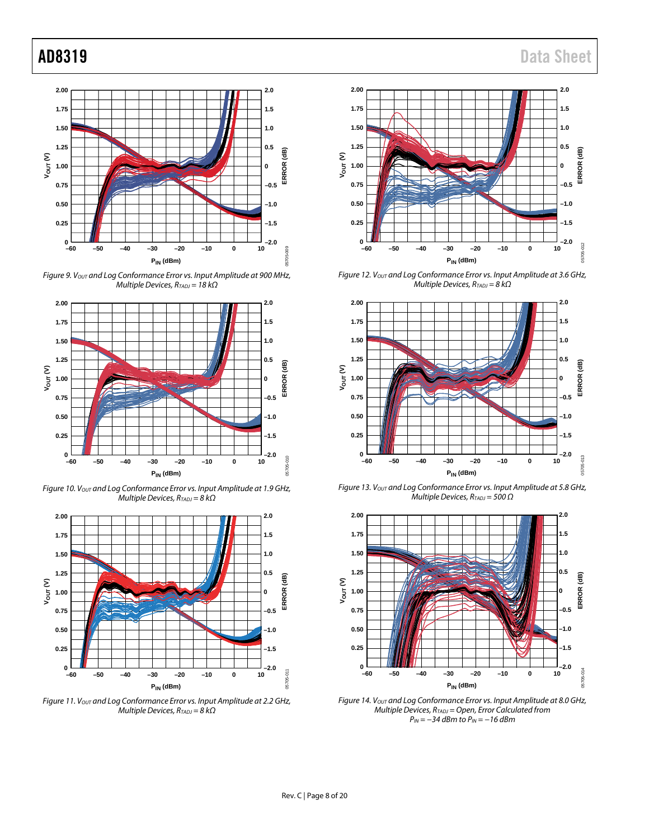

*Figure 9. VOUT and Log Conformance Error vs. Input Amplitude at 900 MHz, Multiple Devices, RTADJ = 18 kΩ*



*Figure 10. VOUT and Log Conformance Error vs. Input Amplitude at 1.9 GHz, Multiple Devices, R<sub>TADJ</sub>* = 8 kΩ



*Figure 11. VOUT and Log Conformance Error vs. Input Amplitude at 2.2 GHz, Multiple Devices, R<sub>TADJ</sub>* = 8 kΩ





*Figure 12. VOUT and Log Conformance Error vs. Input Amplitude at 3.6 GHz, Multiple Devices, RTADJ = 8 kΩ*



*Figure 13. VOUT and Log Conformance Error vs. Input Amplitude at 5.8 GHz, Multiple Devices, RTADJ = 500 Ω*



*Figure 14. VOUT and Log Conformance Error vs. Input Amplitude at 8.0 GHz, Multiple Devices, RTADJ = Open, Error Calculated from P<sub>IN</sub>* = −34 *dBm* to *P<sub>IN</sub>* = −16 *dBm*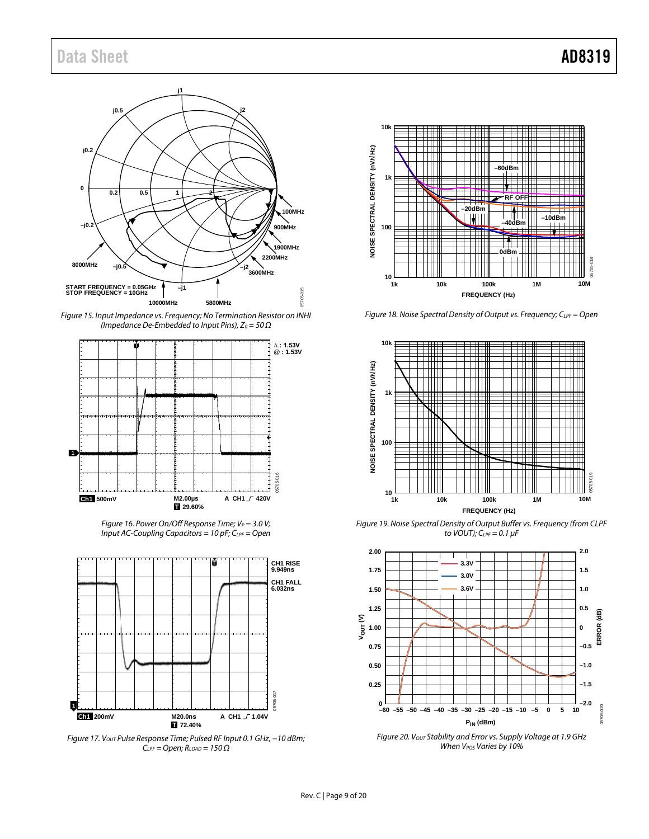## Data Sheet **AD8319**



*Figure 15. Input Impedance vs. Frequency; No Termination Resistor on INHI (Impedance De-Embedded to Input Pins), Z*<sub>0</sub> = 50 Ω



*Figure 16. Power On/Off Response Time; VP* = 3.0 V; *Input AC-Coupling Capacitors = 10 pF; C<sub>LPF</sub> = Open* 



*Figure 17. VOUT Pulse Response Time; Pulsed RF Input 0.1 GHz, −10 dBm; CLPF = Open; RLOAD = 150 Ω*



*Figure 18. Noise Spectral Density of Output vs. Frequency; CLPF = Open*



*Figure 19. Noise Spectral Density of Output Buffer vs. Frequency (from CLPF to VOUT); CLPF = 0.1 µF*



*Figure 20. VOUT Stability and Error vs. Supply Voltage at 1.9 GHz When VPOS Varies by 10%*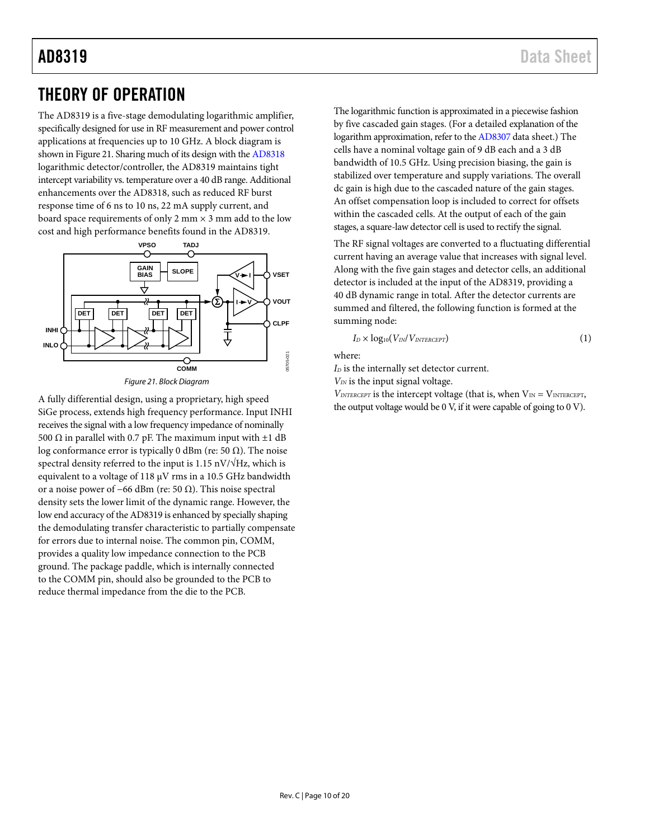## <span id="page-9-0"></span>THEORY OF OPERATION

The AD8319 is a five-stage demodulating logarithmic amplifier, specifically designed for use in RF measurement and power control applications at frequencies up to 10 GHz. A block diagram is shown i[n Figure 21.](#page-9-1) Sharing much of its design with th[e AD8318](http://www.analog.com/AD8318) logarithmic detector/controller, the AD8319 maintains tight intercept variability vs. temperature over a 40 dB range. Additional enhancements over the [AD8318,](http://www.analog.com/AD8318) such as reduced RF burst response time of 6 ns to 10 ns, 22 mA supply current, and board space requirements of only 2 mm  $\times$  3 mm add to the low cost and high performance benefits found in the AD8319.



<span id="page-9-1"></span>A fully differential design, using a proprietary, high speed SiGe process, extends high frequency performance. Input INHI receives the signal with a low frequency impedance of nominally 500 Ω in parallel with 0.7 pF. The maximum input with  $±1$  dB log conformance error is typically 0 dBm (re: 50  $\Omega$ ). The noise spectral density referred to the input is 1.15 nV/ $\sqrt{Hz}$ , which is equivalent to a voltage of 118 µV rms in a 10.5 GHz bandwidth or a noise power of –66 dBm (re: 50  $\Omega$ ). This noise spectral density sets the lower limit of the dynamic range. However, the low end accuracy of the AD8319 is enhanced by specially shaping the demodulating transfer characteristic to partially compensate for errors due to internal noise. The common pin, COMM, provides a quality low impedance connection to the PCB ground. The package paddle, which is internally connected to the COMM pin, should also be grounded to the PCB to reduce thermal impedance from the die to the PCB.

The logarithmic function is approximated in a piecewise fashion by five cascaded gain stages. (For a detailed explanation of the logarithm approximation, refer to th[e AD8307](http://www.analog.com/AD8307) data sheet.) The cells have a nominal voltage gain of 9 dB each and a 3 dB bandwidth of 10.5 GHz. Using precision biasing, the gain is stabilized over temperature and supply variations. The overall dc gain is high due to the cascaded nature of the gain stages. An offset compensation loop is included to correct for offsets within the cascaded cells. At the output of each of the gain stages, a square-law detector cell is used to rectify the signal.

The RF signal voltages are converted to a fluctuating differential current having an average value that increases with signal level. Along with the five gain stages and detector cells, an additional detector is included at the input of the AD8319, providing a 40 dB dynamic range in total. After the detector currents are summed and filtered, the following function is formed at the summing node:

$$
I_D \times log_{10}(V_{IN}/V_{INTERCEPT})
$$
 (1)

where:

*I*<sub>D</sub> is the internally set detector current.

*VIN* is the input signal voltage.

 $V_{\text{INTERCEPT}}$  is the intercept voltage (that is, when  $V_{\text{IN}} = V_{\text{INTERCEPT}}$ , the output voltage would be 0 V, if it were capable of going to 0 V).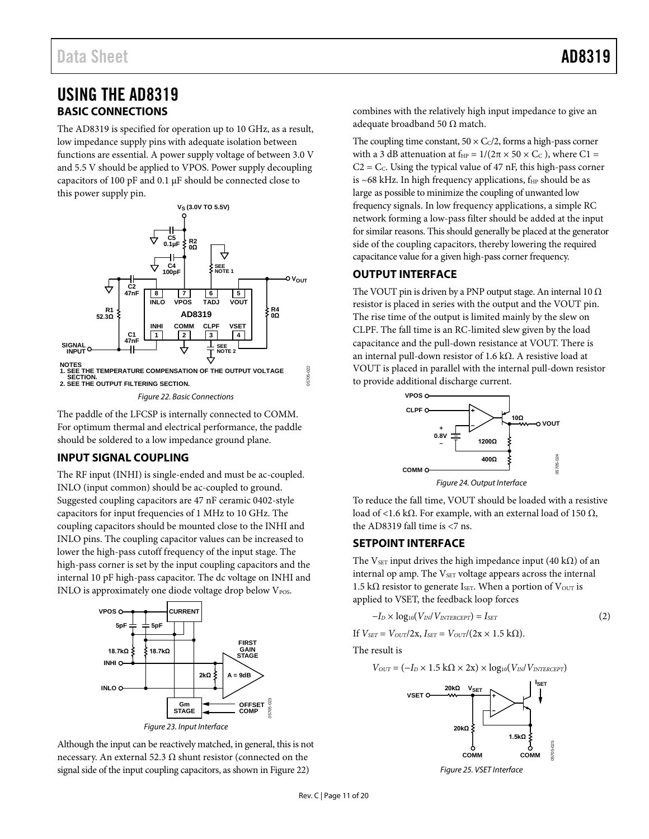## <span id="page-10-1"></span><span id="page-10-0"></span>USING THE AD8319 **BASIC CONNECTIONS**

The AD8319 is specified for operation up to 10 GHz, as a result, low impedance supply pins with adequate isolation between functions are essential. A power supply voltage of between 3.0 V and 5.5 V should be applied to VPOS. Power supply decoupling capacitors of 100 pF and 0.1 µF should be connected close to this power supply pin.



*Figure 22. Basic Connections*

<span id="page-10-5"></span>The paddle of the LFCSP is internally connected to COMM. For optimum thermal and electrical performance, the paddle should be soldered to a low impedance ground plane.

### <span id="page-10-2"></span>**INPUT SIGNAL COUPLING**

The RF input (INHI) is single-ended and must be ac-coupled. INLO (input common) should be ac-coupled to ground. Suggested coupling capacitors are 47 nF ceramic 0402-style capacitors for input frequencies of 1 MHz to 10 GHz. The coupling capacitors should be mounted close to the INHI and INLO pins. The coupling capacitor values can be increased to lower the high-pass cutoff frequency of the input stage. The high-pass corner is set by the input coupling capacitors and the internal 10 pF high-pass capacitor. The dc voltage on INHI and INLO is approximately one diode voltage drop below V<sub>POS</sub>.



Although the input can be reactively matched, in general, this is not necessary. An external 52.3  $Ω$  shunt resistor (connected on the signal side of the input coupling capacitors, as shown i[n Figure 22\)](#page-10-5)

combines with the relatively high input impedance to give an adequate broadband 50  $\Omega$  match.

The coupling time constant,  $50 \times C<sub>c</sub>/2$ , forms a high-pass corner with a 3 dB attenuation at  $f_{HP} = 1/(2\pi \times 50 \times C_C)$ , where C1 =  $C2 = C<sub>c</sub>$ . Using the typical value of 47 nF, this high-pass corner is  $~68$  kHz. In high frequency applications,  $f_{HP}$  should be as large as possible to minimize the coupling of unwanted low frequency signals. In low frequency applications, a simple RC network forming a low-pass filter should be added at the input for similar reasons. This should generally be placed at the generator side of the coupling capacitors, thereby lowering the required capacitance value for a given high-pass corner frequency.

### <span id="page-10-3"></span>**OUTPUT INTERFACE**

The VOUT pin is driven by a PNP output stage. An internal 10  $\Omega$ resistor is placed in series with the output and the VOUT pin. The rise time of the output is limited mainly by the slew on CLPF. The fall time is an RC-limited slew given by the load capacitance and the pull-down resistance at VOUT. There is an internal pull-down resistor of 1.6 kΩ. A resistive load at VOUT is placed in parallel with the internal pull-down resistor to provide additional discharge current.



*Figure 24. Output Interface*

To reduce the fall time, VOUT should be loaded with a resistive load of <1.6 kΩ. For example, with an external load of 150  $Ω$ , the AD8319 fall time is <7 ns.

### <span id="page-10-4"></span>**SETPOINT INTERFACE**

The VsET input drives the high impedance input (40 k $\Omega$ ) of an internal op amp. The VSET voltage appears across the internal 1.5 kΩ resistor to generate IsET. When a portion of  $V<sub>OUT</sub>$  is applied to VSET, the feedback loop forces

$$
-I_D \times \log_{10}(V_{IN}/V_{INTERCEPT}) = I_{SET}
$$
 (2)

If  $V_{SET} = V_{OUT}/2x$ ,  $I_{SET} = V_{OUT}/(2x \times 1.5 \text{ k}\Omega)$ .

The result is

$$
V_{OUT} = (-I_D \times 1.5 \text{ k}\Omega \times 2\text{x}) \times \log_{10}(V_{IN}/V_{INTERCEPT})
$$



*Figure 25. VSET Interface*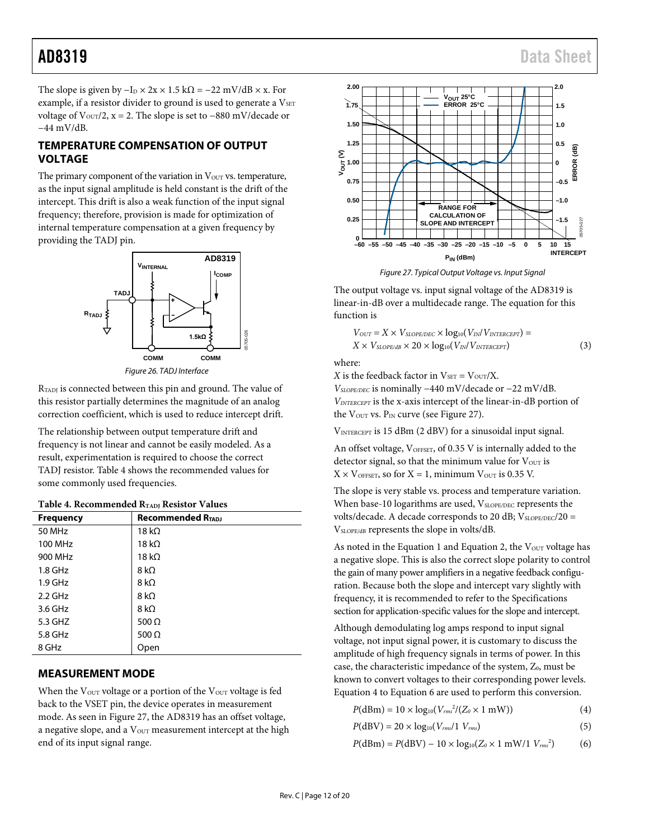The slope is given by  $-I_D \times 2x \times 1.5$  k $\Omega = -22$  mV/dB  $\times$  x. For example, if a resistor divider to ground is used to generate a VSET voltage of  $V<sub>OUT</sub>/2$ , x = 2. The slope is set to −880 mV/decade or −44 mV/dB.

### <span id="page-11-0"></span>**TEMPERATURE COMPENSATION OF OUTPUT VOLTAGE**

The primary component of the variation in  $V<sub>OUT</sub>$  vs. temperature, as the input signal amplitude is held constant is the drift of the intercept. This drift is also a weak function of the input signal frequency; therefore, provision is made for optimization of internal temperature compensation at a given frequency by providing the TADJ pin.



*Figure 26. TADJ Interface*

R<sub>TADJ</sub> is connected between this pin and ground. The value of this resistor partially determines the magnitude of an analog correction coefficient, which is used to reduce intercept drift.

The relationship between output temperature drift and frequency is not linear and cannot be easily modeled. As a result, experimentation is required to choose the correct TADJ resistor[. Table 4](#page-11-2) shows the recommended values for some commonly used frequencies.

<span id="page-11-2"></span>

| Table 4. Recommended R <sub>TADJ</sub> Resistor Values |
|--------------------------------------------------------|
|                                                        |

| <b>Frequency</b> | <b>Recommended RTADJ</b> |
|------------------|--------------------------|
| 50 MHz           | 18 k $\Omega$            |
| 100 MHz          | 18 k $\Omega$            |
| 900 MHz          | 18 k $\Omega$            |
| $1.8$ GHz        | 8 k $\Omega$             |
| $1.9$ GHz        | 8 k $\Omega$             |
| $2.2$ GHz        | 8 k $\Omega$             |
| 3.6 GHz          | 8 k $\Omega$             |
| 5.3 GHZ          | 500 $\Omega$             |
| 5.8 GHz          | 500 $\Omega$             |
| 8 GHz            | Open                     |

### <span id="page-11-1"></span>**MEASUREMENT MODE**

When the  $V<sub>OUT</sub>$  voltage or a portion of the  $V<sub>OUT</sub>$  voltage is fed back to the VSET pin, the device operates in measurement mode. As seen in [Figure 27,](#page-11-3) the AD8319 has an offset voltage, a negative slope, and a V<sub>OUT</sub> measurement intercept at the high end of its input signal range.



*Figure 27. Typical Output Voltage vs. Input Signal*

<span id="page-11-3"></span>The output voltage vs. input signal voltage of the AD8319 is linear-in-dB over a multidecade range. The equation for this function is

$$
V_{OUT} = X \times V_{SLOPE/DEC} \times \log_{10}(V_{IN}/V_{INTERCEPT}) = X \times V_{SLOPE/dB} \times 20 \times \log_{10}(V_{IN}/V_{INTERCEPT})
$$
\n(3)

where:

*X* is the feedback factor in  $V_{\text{SET}} = V_{\text{OUT}}/X$ .

*VSLOPE/DEC* is nominally −440 mV/decade or −22 mV/dB. *VINTERCEPT* is the x-axis intercept of the linear-in-dB portion of the  $V_{\text{OUT}}$  vs.  $P_{\text{IN}}$  curve (see [Figure 27\)](#page-11-3).

VINTERCEPT is 15 dBm (2 dBV) for a sinusoidal input signal.

An offset voltage, VOFFSET, of 0.35 V is internally added to the detector signal, so that the minimum value for  $V_{\text{OUT}}$  is  $X \times V_{\text{OFFSET}}$ , so for  $X = 1$ , minimum  $V_{\text{OUT}}$  is 0.35 V.

The slope is very stable vs. process and temperature variation. When base-10 logarithms are used, VSLOPE/DEC represents the volts/decade. A decade corresponds to 20 dB;  $V_{SLOPE/DEC}/20 =$ VSLOPE/dB represents the slope in volts/dB.

As noted in the Equation 1 and Equation 2, the  $V<sub>OUT</sub>$  voltage has a negative slope. This is also the correct slope polarity to control the gain of many power amplifiers in a negative feedback configuration. Because both the slope and intercept vary slightly with frequency, it is recommended to refer to the [Specifications](#page-2-0) section for application-specific values for the slope and intercept.

Although demodulating log amps respond to input signal voltage, not input signal power, it is customary to discuss the amplitude of high frequency signals in terms of power. In this case, the characteristic impedance of the system, Z<sub>0</sub>, must be known to convert voltages to their corresponding power levels. Equation 4 to Equation 6 are used to perform this conversion.

$$
P(dBm) = 10 \times log_{10}(V_{rms}^{2}/(Z_0 \times 1 \text{ mW}))
$$
 (4)

$$
P(\text{dBV}) = 20 \times \log_{10}(V_{rms}/1 \ V_{rms}) \tag{5}
$$

 $P(dBm) = P(dBV) - 10 \times log_{10}(Z_0 \times 1 \text{ mW}/1 \text{ V}_{rms}^2)$ ) (6)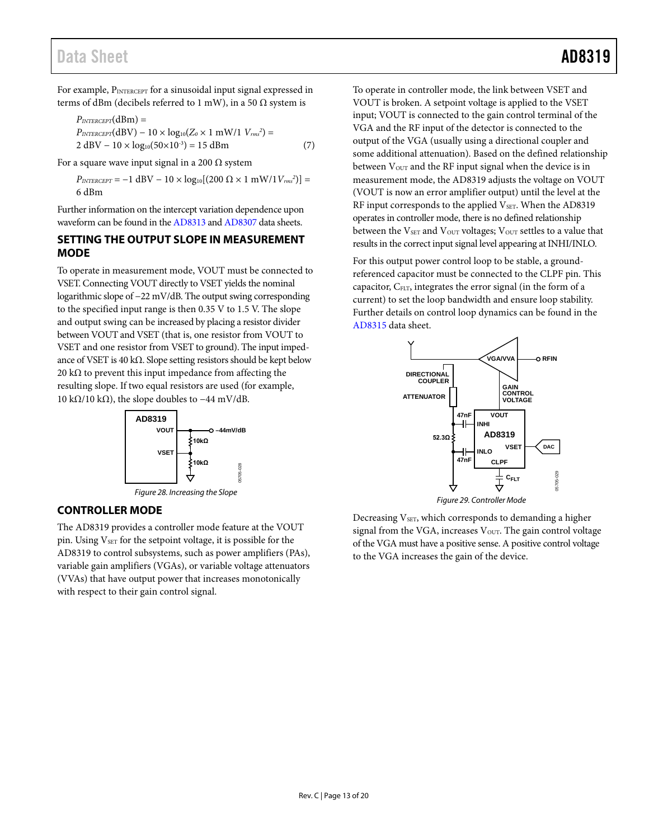## Data Sheet **AD8319**

For example, PINTERCEPT for a sinusoidal input signal expressed in terms of dBm (decibels referred to 1 mW), in a 50  $\Omega$  system is

$$
P_{INTERCEPT}(dBm) =
$$
  
\n
$$
P_{INTERCEPT}(dBV) - 10 \times log_{10}(Z_0 \times 1 \text{ mW}/1 \text{ V}_{rms}^2) =
$$
  
\n
$$
2 dBV - 10 \times log_{10}(50 \times 10^{-3}) = 15 dBm
$$
 (7)

For a square wave input signal in a 200  $\Omega$  system

 $P_{\text{INTERCEPT}} = -1 \text{ dBV} - 10 \times \log_{10}[(200 \ \Omega \times 1 \text{ mW}/1 \text{V}_{\text{rms}}^2)] =$ 6 dBm

Further information on the intercept variation dependence upon waveform can be found in th[e AD8313](http://www.analog.com/AD8313) an[d AD8307](http://www.analog.com/AD8307) data sheets.

#### <span id="page-12-0"></span>**SETTING THE OUTPUT SLOPE IN MEASUREMENT MODE**

To operate in measurement mode, VOUT must be connected to VSET. Connecting VOUT directly to VSET yields the nominal logarithmic slope of −22 mV/dB. The output swing corresponding to the specified input range is then 0.35 V to 1.5 V. The slope and output swing can be increased by placing a resistor divider between VOUT and VSET (that is, one resistor from VOUT to VSET and one resistor from VSET to ground). The input impedance of VSET is 40 kΩ. Slope setting resistors should be kept below 20 k $\Omega$  to prevent this input impedance from affecting the resulting slope. If two equal resistors are used (for example, 10 kΩ/10 kΩ), the slope doubles to  $-44$  mV/dB.



*Figure 28. Increasing the Slope*

#### <span id="page-12-1"></span>**CONTROLLER MODE**

The AD8319 provides a controller mode feature at the VOUT pin. Using V<sub>SET</sub> for the setpoint voltage, it is possible for the AD8319 to control subsystems, such as power amplifiers (PAs), variable gain amplifiers (VGAs), or variable voltage attenuators (VVAs) that have output power that increases monotonically with respect to their gain control signal.

To operate in controller mode, the link between VSET and VOUT is broken. A setpoint voltage is applied to the VSET input; VOUT is connected to the gain control terminal of the VGA and the RF input of the detector is connected to the output of the VGA (usually using a directional coupler and some additional attenuation). Based on the defined relationship between V<sub>OUT</sub> and the RF input signal when the device is in measurement mode, the AD8319 adjusts the voltage on VOUT (VOUT is now an error amplifier output) until the level at the RF input corresponds to the applied  $V<sub>SET</sub>$ . When the AD8319 operates in controller mode, there is no defined relationship between the V<sub>SET</sub> and V<sub>OUT</sub> voltages; V<sub>OUT</sub> settles to a value that results in the correct input signal level appearing at INHI/INLO.

For this output power control loop to be stable, a groundreferenced capacitor must be connected to the CLPF pin. This capacitor, CFLT, integrates the error signal (in the form of a current) to set the loop bandwidth and ensure loop stability. Further details on control loop dynamics can be found in the [AD8315](http://www.analog.com/AD8315) data sheet.





<span id="page-12-2"></span>Decreasing V<sub>SET</sub>, which corresponds to demanding a higher signal from the VGA, increases  $V<sub>OUT</sub>$ . The gain control voltage of the VGA must have a positive sense. A positive control voltage to the VGA increases the gain of the device.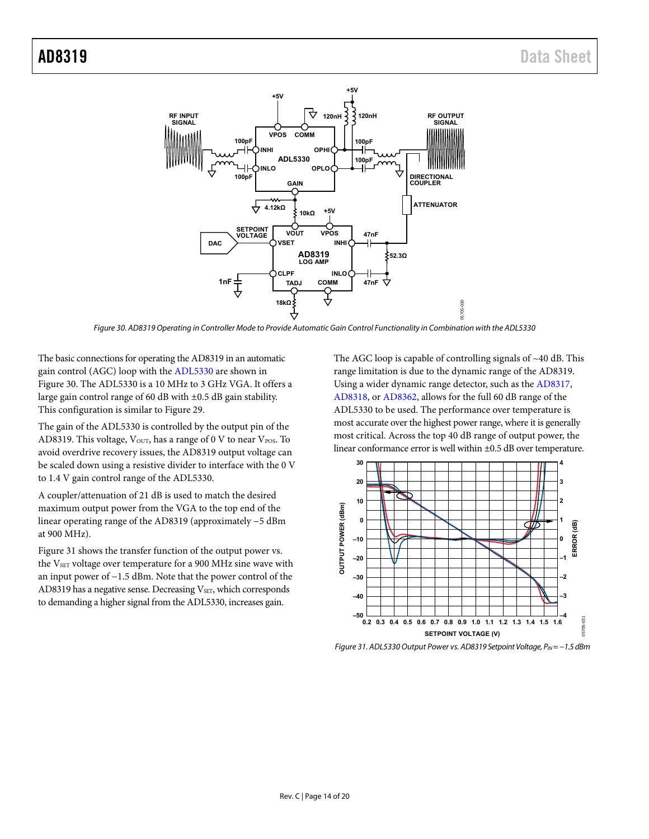

Figure 30. AD8319 Operating in Controller Mode to Provide Automatic Gain Control Functionality in Combination with the ADL5330

<span id="page-13-0"></span>The basic connections for operating the AD8319 in an automatic gain control (AGC) loop with th[e ADL5330 a](http://www.analog.com/ADL5330)re shown in [Figure 30.](#page-13-0) The [ADL5330 i](http://www.analog.com/ADL5330)s a 10 MHz to 3 GHz VGA. It offers a large gain control range of 60 dB with ±0.5 dB gain stability. This configuration is similar t[o Figure 29.](#page-12-2)

The gain of th[e ADL5330](http://www.analog.com/ADL5330) is controlled by the output pin of the AD8319. This voltage,  $V_{\text{OUT}}$ , has a range of 0 V to near  $V_{\text{POS}}$ . To avoid overdrive recovery issues, the AD8319 output voltage can be scaled down using a resistive divider to interface with the 0 V to 1.4 V gain control range of the [ADL5330.](http://www.analog.com/ADL5330)

A coupler/attenuation of 21 dB is used to match the desired maximum output power from the VGA to the top end of the linear operating range of the AD8319 (approximately −5 dBm at 900 MHz).

[Figure 31 s](#page-13-1)hows the transfer function of the output power vs. the  $V<sub>SET</sub>$  voltage over temperature for a 900 MHz sine wave with an input power of −1.5 dBm. Note that the power control of the AD8319 has a negative sense. Decreasing V<sub>SET</sub>, which corresponds to demanding a higher signal from th[e ADL5330,](http://www.analog.com/ADL5330) increases gain.

The AGC loop is capable of controlling signals of ~40 dB. This range limitation is due to the dynamic range of the AD8319. Using a wider dynamic range detector, such as th[e AD8317,](http://www.analog.com/AD8317) [AD8318,](http://www.analog.com/AD8318) o[r AD8362,](http://www.analog.com/AD8362) allows for the full 60 dB range of the [ADL5330 t](http://www.analog.com/ADL5330)o be used. The performance over temperature is most accurate over the highest power range, where it is generally most critical. Across the top 40 dB range of output power, the linear conformance error is well within ±0.5 dB over temperature.



<span id="page-13-1"></span>Figure 31. ADL5330 Output Power vs. AD8319 Setpoint Voltage, P<sub>N</sub> = −1.5 dBm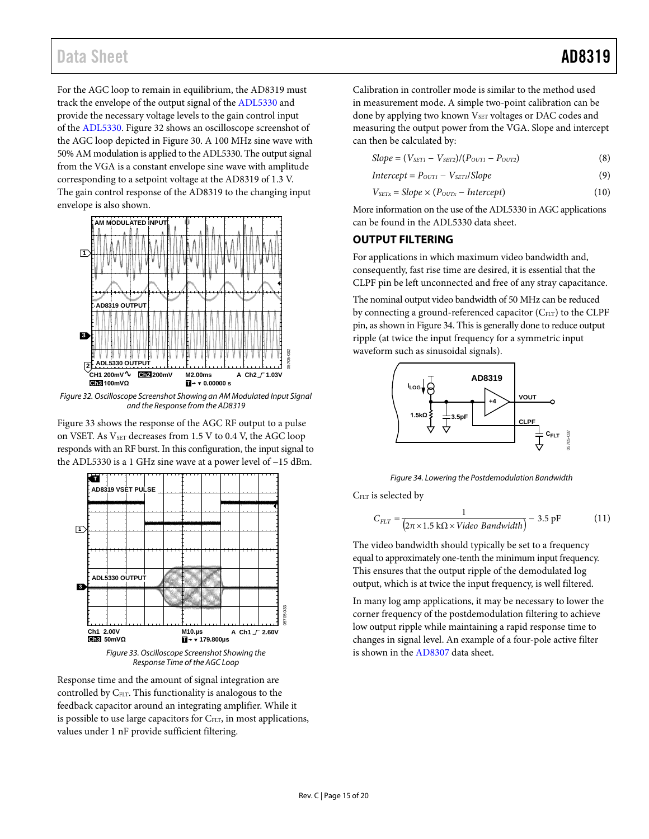## Data Sheet **AD8319**

For the AGC loop to remain in equilibrium, the AD8319 must track the envelope of the output signal of the [ADL5330](http://www.analog.com/ADL5330) and provide the necessary voltage levels to the gain control input of the [ADL5330.](http://www.analog.com/ADL5330) [Figure 32](#page-14-1) shows an oscilloscope screenshot of the AGC loop depicted i[n Figure 30.](#page-13-0) A 100 MHz sine wave with 50% AM modulation is applied to the [ADL5330.](http://www.analog.com/ADL5330) The output signal from the VGA is a constant envelope sine wave with amplitude corresponding to a setpoint voltage at the AD8319 of 1.3 V. The gain control response of the AD8319 to the changing input envelope is also shown.



<span id="page-14-1"></span>*Figure 32. Oscilloscope Screenshot Showing an AM Modulated Input Signal and the Response from the AD8319*

[Figure 33](#page-14-2) shows the response of the AGC RF output to a pulse on VSET. As  $V_{\text{SET}}$  decreases from 1.5 V to 0.4 V, the AGC loop responds with an RF burst. In this configuration, the input signal to the [ADL5330](http://www.analog.com/ADL5330) is a 1 GHz sine wave at a power level of −15 dBm.



*Response Time of the AGC Loop*

<span id="page-14-2"></span>Response time and the amount of signal integration are controlled by C<sub>FLT</sub>. This functionality is analogous to the feedback capacitor around an integrating amplifier. While it is possible to use large capacitors for C<sub>FLT</sub>, in most applications, values under 1 nF provide sufficient filtering.

Calibration in controller mode is similar to the method used in measurement mode. A simple two-point calibration can be done by applying two known V<sub>SET</sub> voltages or DAC codes and measuring the output power from the VGA. Slope and intercept can then be calculated by:

$$
Slope = (V_{SET1} - V_{SET2})/(P_{OUT1} - P_{OUT2})
$$
\n(8)

$$
Intercept = P_{OUTI} - V_{SETI}/Slope
$$
\n(9)

$$
V_{SETx} = Slope \times (P_{OUTx} - Intercept)
$$
 (10)

More information on the use of the [ADL5330](http://www.analog.com/ADL5330) in AGC applications can be found in th[e ADL5330](http://www.analog.com/ADL5330) data sheet.

#### <span id="page-14-0"></span>**OUTPUT FILTERING**

For applications in which maximum video bandwidth and, consequently, fast rise time are desired, it is essential that the CLPF pin be left unconnected and free of any stray capacitance.

The nominal output video bandwidth of 50 MHz can be reduced by connecting a ground-referenced capacitor  $(C_{FLT})$  to the CLPF pin, as shown i[n Figure 34.](#page-14-3) This is generally done to reduce output ripple (at twice the input frequency for a symmetric input waveform such as sinusoidal signals).



*Figure 34. Lowering the Postdemodulation Bandwidth*

<span id="page-14-3"></span>C<sub>FLT</sub> is selected by

$$
C_{FLT} = \frac{1}{(2\pi \times 1.5 \text{ k}\Omega \times \text{Video Bandwidth})} - 3.5 \text{ pF}
$$
 (11)

The video bandwidth should typically be set to a frequency equal to approximately one-tenth the minimum input frequency. This ensures that the output ripple of the demodulated log output, which is at twice the input frequency, is well filtered.

In many log amp applications, it may be necessary to lower the corner frequency of the postdemodulation filtering to achieve low output ripple while maintaining a rapid response time to changes in signal level. An example of a four-pole active filter is shown in th[e AD8307](http://www.analog.com/AD8307) data sheet.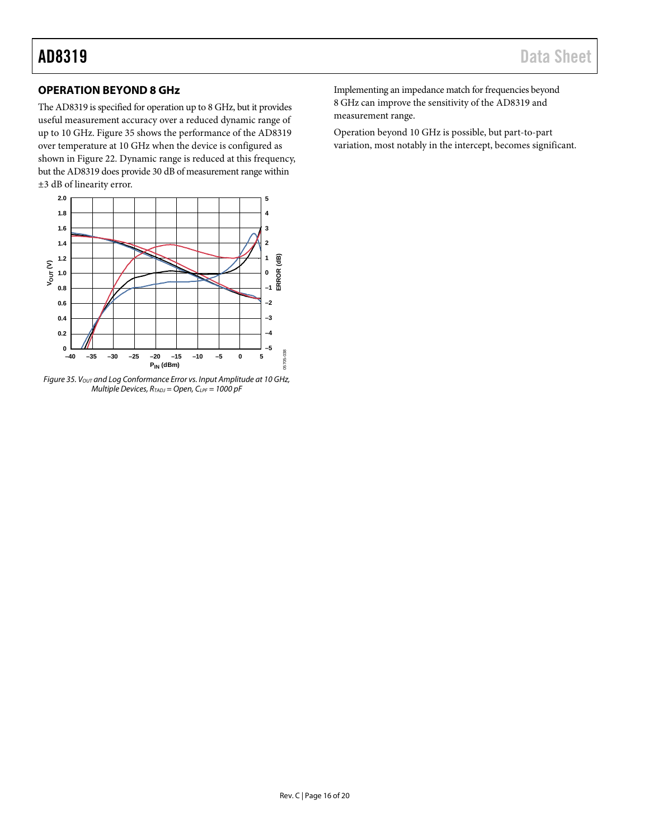### <span id="page-15-0"></span>**OPERATION BEYOND 8 GHz**

The AD8319 is specified for operation up to 8 GHz, but it provides useful measurement accuracy over a reduced dynamic range of up to 10 GHz[. Figure 35](#page-15-1) shows the performance of the AD8319 over temperature at 10 GHz when the device is configured as shown in [Figure 22.](#page-10-5) Dynamic range is reduced at this frequency, but the AD8319 does provide 30 dB of measurement range within ±3 dB of linearity error.



<span id="page-15-1"></span>Figure 35. V<sub>OUT</sub> and Log Conformance Error vs. Input Amplitude at 10 GHz, *Multiple Devices, RTADJ = Open, CLPF = 1000 pF*

Implementing an impedance match for frequencies beyond 8 GHz can improve the sensitivity of the AD8319 and measurement range.

Operation beyond 10 GHz is possible, but part-to-part variation, most notably in the intercept, becomes significant.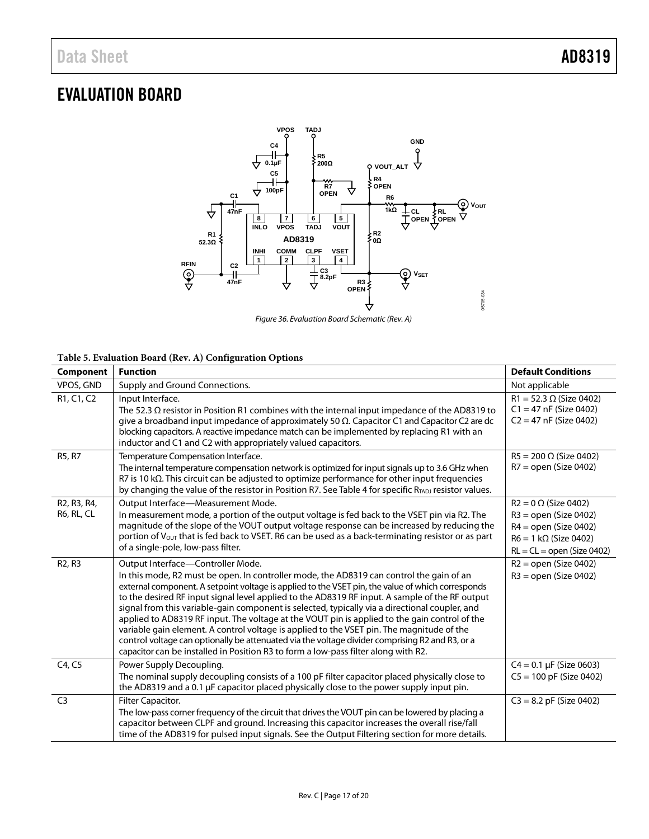## <span id="page-16-0"></span>EVALUATION BOARD



*Figure 36. Evaluation Board Schematic (Rev. A)*

#### **Table 5. Evaluation Board (Rev. A) Configuration Options**

| Component                                                                     | <b>Function</b>                                                                                                                                                                                                                                                                                                                                                                                                                                                                                                                                                                                                                                                                                                                                                                                                               | <b>Default Conditions</b>                                                                                                                         |
|-------------------------------------------------------------------------------|-------------------------------------------------------------------------------------------------------------------------------------------------------------------------------------------------------------------------------------------------------------------------------------------------------------------------------------------------------------------------------------------------------------------------------------------------------------------------------------------------------------------------------------------------------------------------------------------------------------------------------------------------------------------------------------------------------------------------------------------------------------------------------------------------------------------------------|---------------------------------------------------------------------------------------------------------------------------------------------------|
| VPOS, GND                                                                     | Supply and Ground Connections.                                                                                                                                                                                                                                                                                                                                                                                                                                                                                                                                                                                                                                                                                                                                                                                                | Not applicable                                                                                                                                    |
| R <sub>1</sub> , C <sub>1</sub> , C <sub>2</sub>                              | Input Interface.<br>The 52.3 $\Omega$ resistor in Position R1 combines with the internal input impedance of the AD8319 to<br>give a broadband input impedance of approximately 50 $\Omega$ . Capacitor C1 and Capacitor C2 are dc<br>blocking capacitors. A reactive impedance match can be implemented by replacing R1 with an<br>inductor and C1 and C2 with appropriately valued capacitors.                                                                                                                                                                                                                                                                                                                                                                                                                               | $R1 = 52.3 \Omega$ (Size 0402)<br>$C1 = 47$ nF (Size 0402)<br>$C2 = 47$ nF (Size 0402)                                                            |
| R5, R7                                                                        | Temperature Compensation Interface.<br>The internal temperature compensation network is optimized for input signals up to 3.6 GHz when<br>$R$ 7 is 10 k $\Omega$ . This circuit can be adjusted to optimize performance for other input frequencies<br>by changing the value of the resistor in Position R7. See Table 4 for specific $R_{TADJ}$ resistor values.                                                                                                                                                                                                                                                                                                                                                                                                                                                             | $R5 = 200 \Omega$ (Size 0402)<br>$R7 =$ open (Size 0402)                                                                                          |
| R <sub>2</sub> , R <sub>3</sub> , R <sub>4</sub> ,<br>R <sub>6</sub> , RL, CL | Output Interface-Measurement Mode.<br>In measurement mode, a portion of the output voltage is fed back to the VSET pin via R2. The<br>magnitude of the slope of the VOUT output voltage response can be increased by reducing the<br>portion of $V_{\text{OUT}}$ that is fed back to VSET. R6 can be used as a back-terminating resistor or as part<br>of a single-pole, low-pass filter.                                                                                                                                                                                                                                                                                                                                                                                                                                     | $R2 = 0 \Omega$ (Size 0402)<br>$R3 =$ open (Size 0402)<br>$R4 =$ open (Size 0402)<br>$R6 = 1 k\Omega$ (Size 0402)<br>$RL = CL = open (Size 0402)$ |
| R <sub>2</sub> , R <sub>3</sub>                                               | Output Interface-Controller Mode.<br>In this mode, R2 must be open. In controller mode, the AD8319 can control the gain of an<br>external component. A setpoint voltage is applied to the VSET pin, the value of which corresponds<br>to the desired RF input signal level applied to the AD8319 RF input. A sample of the RF output<br>signal from this variable-gain component is selected, typically via a directional coupler, and<br>applied to AD8319 RF input. The voltage at the VOUT pin is applied to the gain control of the<br>variable gain element. A control voltage is applied to the VSET pin. The magnitude of the<br>control voltage can optionally be attenuated via the voltage divider comprising R2 and R3, or a<br>capacitor can be installed in Position R3 to form a low-pass filter along with R2. | $R2 =$ open (Size 0402)<br>$R3 =$ open (Size 0402)                                                                                                |
| C4, C5                                                                        | Power Supply Decoupling.<br>The nominal supply decoupling consists of a 100 pF filter capacitor placed physically close to<br>the AD8319 and a 0.1 µF capacitor placed physically close to the power supply input pin.                                                                                                                                                                                                                                                                                                                                                                                                                                                                                                                                                                                                        | $C4 = 0.1 \mu F$ (Size 0603)<br>$C5 = 100$ pF (Size 0402)                                                                                         |
| C <sub>3</sub>                                                                | Filter Capacitor.<br>The low-pass corner frequency of the circuit that drives the VOUT pin can be lowered by placing a<br>capacitor between CLPF and ground. Increasing this capacitor increases the overall rise/fall<br>time of the AD8319 for pulsed input signals. See the Output Filtering section for more details.                                                                                                                                                                                                                                                                                                                                                                                                                                                                                                     | $C3 = 8.2$ pF (Size 0402)                                                                                                                         |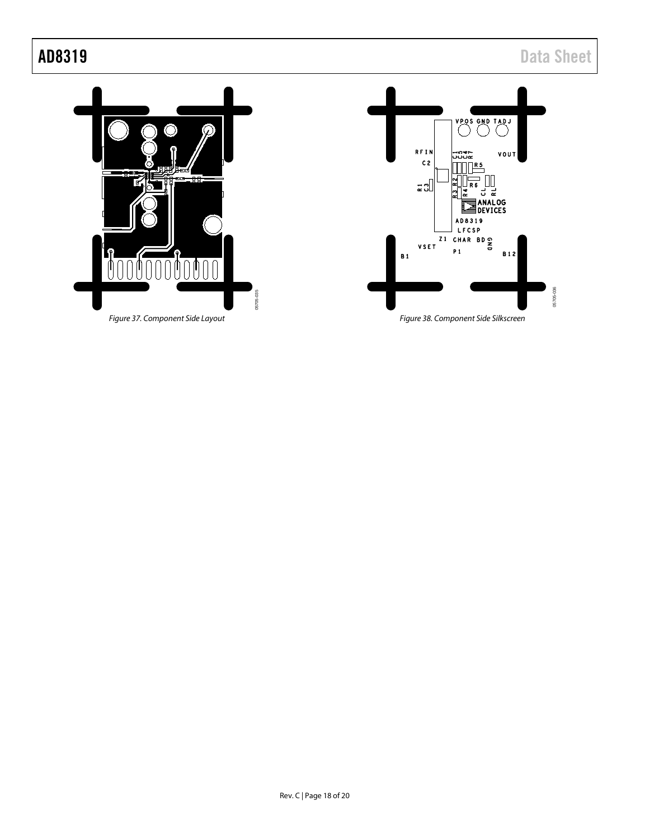05705-036

05705-036



*Figure 37. Component Side Layout*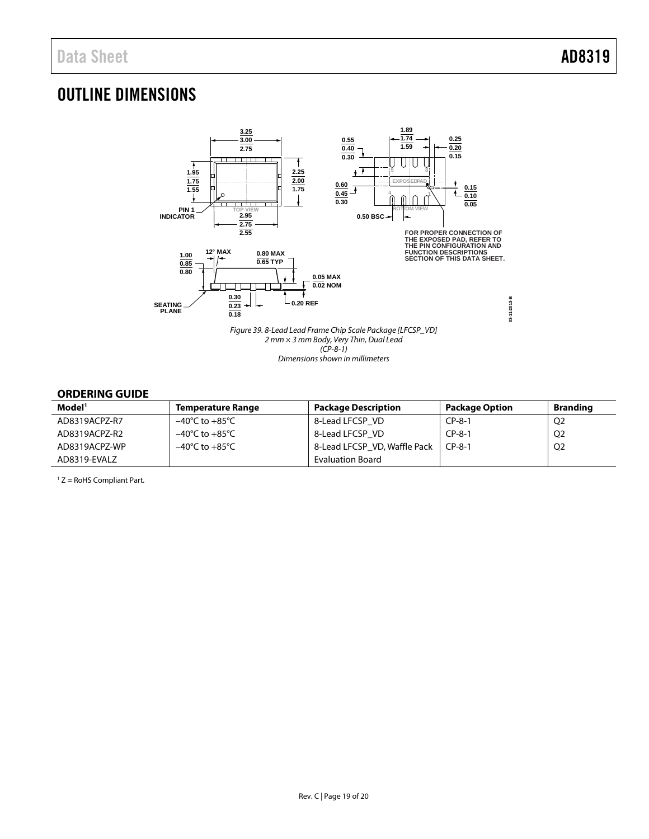## <span id="page-18-0"></span>OUTLINE DIMENSIONS



#### <span id="page-18-1"></span>**ORDERING GUIDE**

| Model <sup>1</sup> | <b>Temperature Range</b>           | <b>Package Description</b>   | Package Option | <b>Branding</b> |
|--------------------|------------------------------------|------------------------------|----------------|-----------------|
| AD8319ACPZ-R7      | –40°C to +85°C                     | 8-Lead LFCSP VD              | $CP-8-1$       | Q <sub>2</sub>  |
| AD8319ACPZ-R2      | $-40^{\circ}$ C to $+85^{\circ}$ C | 8-Lead LFCSP VD              | $CP-8-1$       | Q <sub>2</sub>  |
| AD8319ACPZ-WP      | $-40^{\circ}$ C to $+85^{\circ}$ C | 8-Lead LFCSP VD, Waffle Pack | $CP-8-1$       | Q <sub>2</sub>  |
| AD8319-EVALZ       |                                    | <b>Evaluation Board</b>      |                |                 |

 $1 Z =$  RoHS Compliant Part.